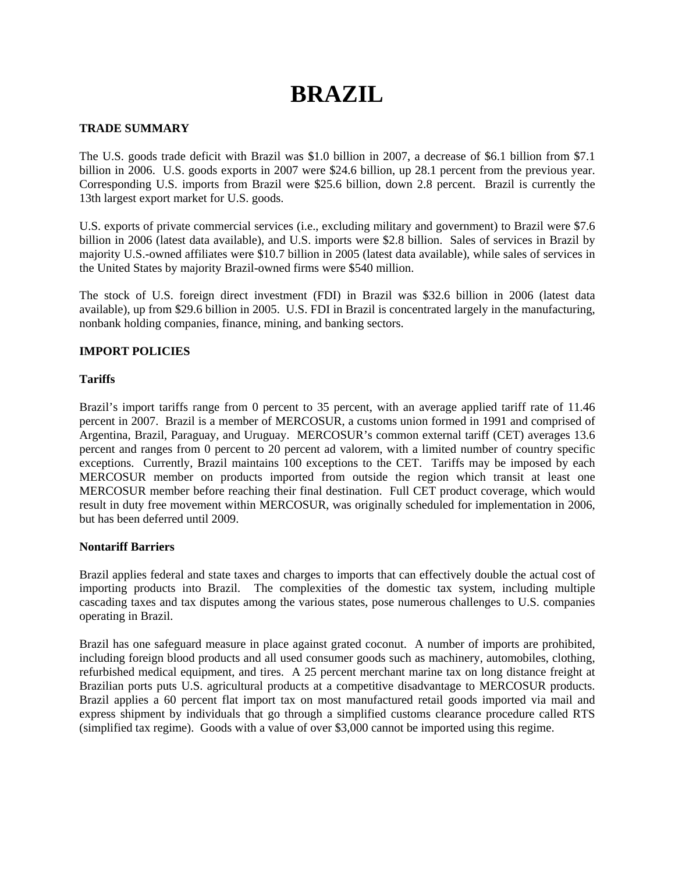# **BRAZIL**

## **TRADE SUMMARY**

The U.S. goods trade deficit with Brazil was \$1.0 billion in 2007, a decrease of \$6.1 billion from \$7.1 billion in 2006. U.S. goods exports in 2007 were \$24.6 billion, up 28.1 percent from the previous year. Corresponding U.S. imports from Brazil were \$25.6 billion, down 2.8 percent. Brazil is currently the 13th largest export market for U.S. goods.

U.S. exports of private commercial services (i.e., excluding military and government) to Brazil were \$7.6 billion in 2006 (latest data available), and U.S. imports were \$2.8 billion. Sales of services in Brazil by majority U.S.-owned affiliates were \$10.7 billion in 2005 (latest data available), while sales of services in the United States by majority Brazil-owned firms were \$540 million.

The stock of U.S. foreign direct investment (FDI) in Brazil was \$32.6 billion in 2006 (latest data available), up from \$29.6 billion in 2005. U.S. FDI in Brazil is concentrated largely in the manufacturing, nonbank holding companies, finance, mining, and banking sectors.

# **IMPORT POLICIES**

## **Tariffs**

Brazil's import tariffs range from 0 percent to 35 percent, with an average applied tariff rate of 11.46 percent in 2007. Brazil is a member of MERCOSUR, a customs union formed in 1991 and comprised of Argentina, Brazil, Paraguay, and Uruguay. MERCOSUR's common external tariff (CET) averages 13.6 percent and ranges from 0 percent to 20 percent ad valorem, with a limited number of country specific exceptions. Currently, Brazil maintains 100 exceptions to the CET. Tariffs may be imposed by each MERCOSUR member on products imported from outside the region which transit at least one MERCOSUR member before reaching their final destination. Full CET product coverage, which would result in duty free movement within MERCOSUR, was originally scheduled for implementation in 2006, but has been deferred until 2009.

## **Nontariff Barriers**

Brazil applies federal and state taxes and charges to imports that can effectively double the actual cost of importing products into Brazil. The complexities of the domestic tax system, including multiple cascading taxes and tax disputes among the various states, pose numerous challenges to U.S. companies operating in Brazil.

Brazil has one safeguard measure in place against grated coconut. A number of imports are prohibited, including foreign blood products and all used consumer goods such as machinery, automobiles, clothing, refurbished medical equipment, and tires. A 25 percent merchant marine tax on long distance freight at Brazilian ports puts U.S. agricultural products at a competitive disadvantage to MERCOSUR products. Brazil applies a 60 percent flat import tax on most manufactured retail goods imported via mail and express shipment by individuals that go through a simplified customs clearance procedure called RTS (simplified tax regime). Goods with a value of over \$3,000 cannot be imported using this regime.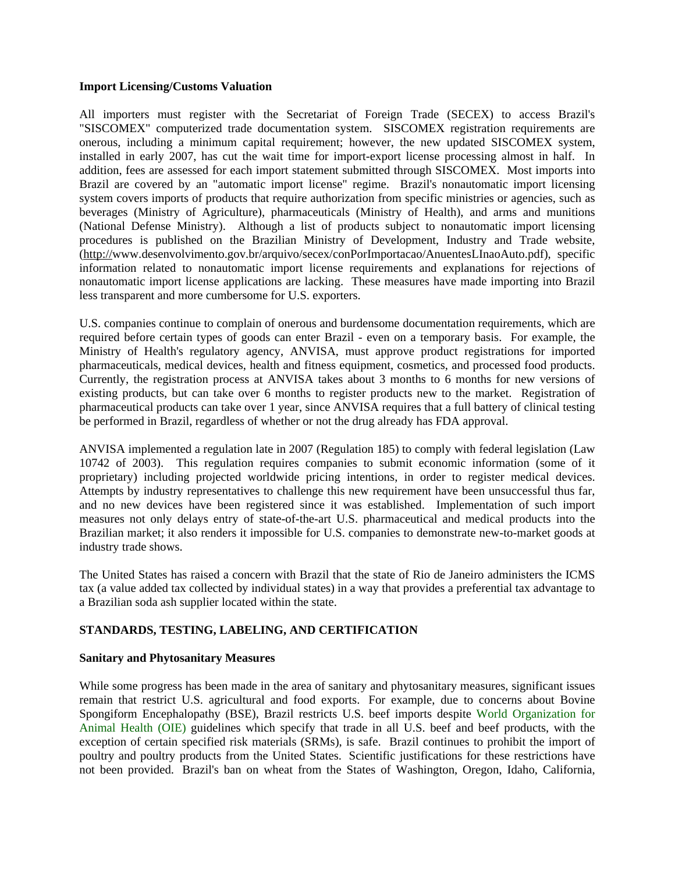#### **Import Licensing/Customs Valuation**

All importers must register with the Secretariat of Foreign Trade (SECEX) to access Brazil's "SISCOMEX" computerized trade documentation system. SISCOMEX registration requirements are onerous, including a minimum capital requirement; however, the new updated SISCOMEX system, installed in early 2007, has cut the wait time for import-export license processing almost in half. In addition, fees are assessed for each import statement submitted through SISCOMEX. Most imports into Brazil are covered by an "automatic import license" regime. Brazil's nonautomatic import licensing system covers imports of products that require authorization from specific ministries or agencies, such as beverages (Ministry of Agriculture), pharmaceuticals (Ministry of Health), and arms and munitions (National Defense Ministry). Although a list of products subject to nonautomatic import licensing procedures is published on the Brazilian Ministry of Development, Industry and Trade website, (http://[www.desenvolvimento.gov.br/arquivo/secex/conPorImportacao/AnuentesLInaoAuto.pdf\)](http://www.desenvolvimento.gov.br/arquivo/secex/conPorImportacao/AnuentesLInaoAuto.pdf), specific information related to nonautomatic import license requirements and explanations for rejections of nonautomatic import license applications are lacking. These measures have made importing into Brazil less transparent and more cumbersome for U.S. exporters.

U.S. companies continue to complain of onerous and burdensome documentation requirements, which are required before certain types of goods can enter Brazil - even on a temporary basis. For example, the Ministry of Health's regulatory agency, ANVISA, must approve product registrations for imported pharmaceuticals, medical devices, health and fitness equipment, cosmetics, and processed food products. Currently, the registration process at ANVISA takes about 3 months to 6 months for new versions of existing products, but can take over 6 months to register products new to the market. Registration of pharmaceutical products can take over 1 year, since ANVISA requires that a full battery of clinical testing be performed in Brazil, regardless of whether or not the drug already has FDA approval.

ANVISA implemented a regulation late in 2007 (Regulation 185) to comply with federal legislation (Law 10742 of 2003). This regulation requires companies to submit economic information (some of it proprietary) including projected worldwide pricing intentions, in order to register medical devices. Attempts by industry representatives to challenge this new requirement have been unsuccessful thus far, and no new devices have been registered since it was established. Implementation of such import measures not only delays entry of state-of-the-art U.S. pharmaceutical and medical products into the Brazilian market; it also renders it impossible for U.S. companies to demonstrate new-to-market goods at industry trade shows.

The United States has raised a concern with Brazil that the state of Rio de Janeiro administers the ICMS tax (a value added tax collected by individual states) in a way that provides a preferential tax advantage to a Brazilian soda ash supplier located within the state.

## **STANDARDS, TESTING, LABELING, AND CERTIFICATION**

#### **Sanitary and Phytosanitary Measures**

While some progress has been made in the area of sanitary and phytosanitary measures, significant issues remain that restrict U.S. agricultural and food exports. For example, due to concerns about Bovine Spongiform Encephalopathy (BSE), Brazil restricts U.S. beef imports despite World Organization for Animal Health (OIE) guidelines which specify that trade in all U.S. beef and beef products, with the exception of certain specified risk materials (SRMs), is safe. Brazil continues to prohibit the import of poultry and poultry products from the United States. Scientific justifications for these restrictions have not been provided. Brazil's ban on wheat from the States of Washington, Oregon, Idaho, California,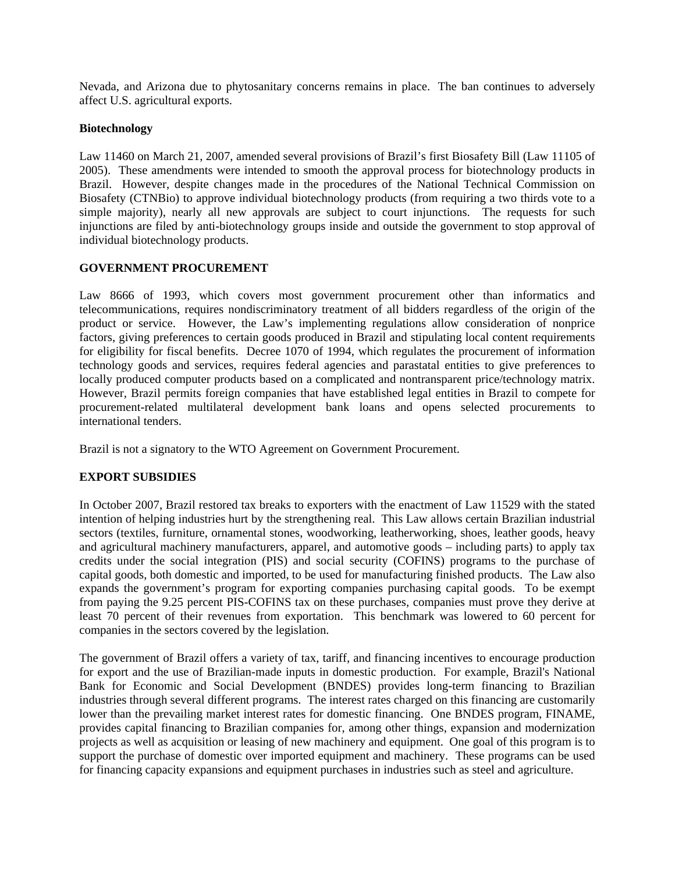Nevada, and Arizona due to phytosanitary concerns remains in place. The ban continues to adversely affect U.S. agricultural exports.

## **Biotechnology**

Law 11460 on March 21, 2007, amended several provisions of Brazil's first Biosafety Bill (Law 11105 of 2005). These amendments were intended to smooth the approval process for biotechnology products in Brazil. However, despite changes made in the procedures of the National Technical Commission on Biosafety (CTNBio) to approve individual biotechnology products (from requiring a two thirds vote to a simple majority), nearly all new approvals are subject to court injunctions. The requests for such injunctions are filed by anti-biotechnology groups inside and outside the government to stop approval of individual biotechnology products.

## **GOVERNMENT PROCUREMENT**

Law 8666 of 1993, which covers most government procurement other than informatics and telecommunications, requires nondiscriminatory treatment of all bidders regardless of the origin of the product or service. However, the Law's implementing regulations allow consideration of nonprice factors, giving preferences to certain goods produced in Brazil and stipulating local content requirements for eligibility for fiscal benefits. Decree 1070 of 1994, which regulates the procurement of information technology goods and services, requires federal agencies and parastatal entities to give preferences to locally produced computer products based on a complicated and nontransparent price/technology matrix. However, Brazil permits foreign companies that have established legal entities in Brazil to compete for procurement-related multilateral development bank loans and opens selected procurements to international tenders.

Brazil is not a signatory to the WTO Agreement on Government Procurement.

## **EXPORT SUBSIDIES**

In October 2007, Brazil restored tax breaks to exporters with the enactment of Law 11529 with the stated intention of helping industries hurt by the strengthening real. This Law allows certain Brazilian industrial sectors (textiles, furniture, ornamental stones, woodworking, leatherworking, shoes, leather goods, heavy and agricultural machinery manufacturers, apparel, and automotive goods – including parts) to apply tax credits under the social integration (PIS) and social security (COFINS) programs to the purchase of capital goods, both domestic and imported, to be used for manufacturing finished products. The Law also expands the government's program for exporting companies purchasing capital goods. To be exempt from paying the 9.25 percent PIS-COFINS tax on these purchases, companies must prove they derive at least 70 percent of their revenues from exportation. This benchmark was lowered to 60 percent for companies in the sectors covered by the legislation.

The government of Brazil offers a variety of tax, tariff, and financing incentives to encourage production for export and the use of Brazilian-made inputs in domestic production. For example, Brazil's National Bank for Economic and Social Development (BNDES) provides long-term financing to Brazilian industries through several different programs. The interest rates charged on this financing are customarily lower than the prevailing market interest rates for domestic financing. One BNDES program, FINAME, provides capital financing to Brazilian companies for, among other things, expansion and modernization projects as well as acquisition or leasing of new machinery and equipment. One goal of this program is to support the purchase of domestic over imported equipment and machinery. These programs can be used for financing capacity expansions and equipment purchases in industries such as steel and agriculture.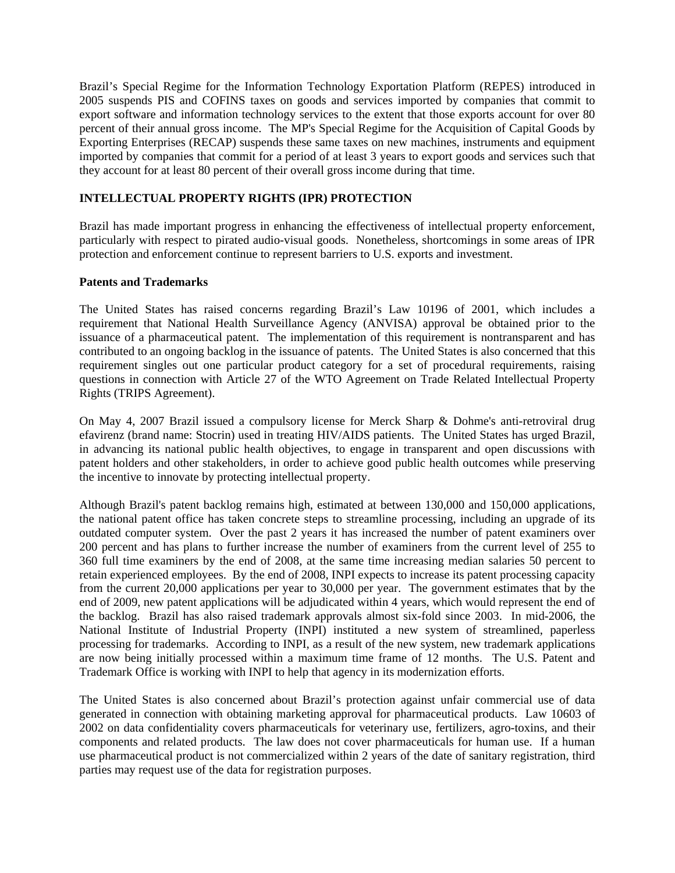Brazil's Special Regime for the Information Technology Exportation Platform (REPES) introduced in 2005 suspends PIS and COFINS taxes on goods and services imported by companies that commit to export software and information technology services to the extent that those exports account for over 80 percent of their annual gross income. The MP's Special Regime for the Acquisition of Capital Goods by Exporting Enterprises (RECAP) suspends these same taxes on new machines, instruments and equipment imported by companies that commit for a period of at least 3 years to export goods and services such that they account for at least 80 percent of their overall gross income during that time.

# **INTELLECTUAL PROPERTY RIGHTS (IPR) PROTECTION**

Brazil has made important progress in enhancing the effectiveness of intellectual property enforcement, particularly with respect to pirated audio-visual goods. Nonetheless, shortcomings in some areas of IPR protection and enforcement continue to represent barriers to U.S. exports and investment.

## **Patents and Trademarks**

The United States has raised concerns regarding Brazil's Law 10196 of 2001, which includes a requirement that National Health Surveillance Agency (ANVISA) approval be obtained prior to the issuance of a pharmaceutical patent. The implementation of this requirement is nontransparent and has contributed to an ongoing backlog in the issuance of patents. The United States is also concerned that this requirement singles out one particular product category for a set of procedural requirements, raising questions in connection with Article 27 of the WTO Agreement on Trade Related Intellectual Property Rights (TRIPS Agreement).

On May 4, 2007 Brazil issued a compulsory license for Merck Sharp & Dohme's anti-retroviral drug efavirenz (brand name: Stocrin) used in treating HIV/AIDS patients. The United States has urged Brazil, in advancing its national public health objectives, to engage in transparent and open discussions with patent holders and other stakeholders, in order to achieve good public health outcomes while preserving the incentive to innovate by protecting intellectual property.

Although Brazil's patent backlog remains high, estimated at between 130,000 and 150,000 applications, the national patent office has taken concrete steps to streamline processing, including an upgrade of its outdated computer system. Over the past 2 years it has increased the number of patent examiners over 200 percent and has plans to further increase the number of examiners from the current level of 255 to 360 full time examiners by the end of 2008, at the same time increasing median salaries 50 percent to retain experienced employees. By the end of 2008, INPI expects to increase its patent processing capacity from the current 20,000 applications per year to 30,000 per year. The government estimates that by the end of 2009, new patent applications will be adjudicated within 4 years, which would represent the end of the backlog. Brazil has also raised trademark approvals almost six-fold since 2003. In mid-2006, the National Institute of Industrial Property (INPI) instituted a new system of streamlined, paperless processing for trademarks. According to INPI, as a result of the new system, new trademark applications are now being initially processed within a maximum time frame of 12 months. The U.S. Patent and Trademark Office is working with INPI to help that agency in its modernization efforts.

The United States is also concerned about Brazil's protection against unfair commercial use of data generated in connection with obtaining marketing approval for pharmaceutical products. Law 10603 of 2002 on data confidentiality covers pharmaceuticals for veterinary use, fertilizers, agro-toxins, and their components and related products. The law does not cover pharmaceuticals for human use. If a human use pharmaceutical product is not commercialized within 2 years of the date of sanitary registration, third parties may request use of the data for registration purposes.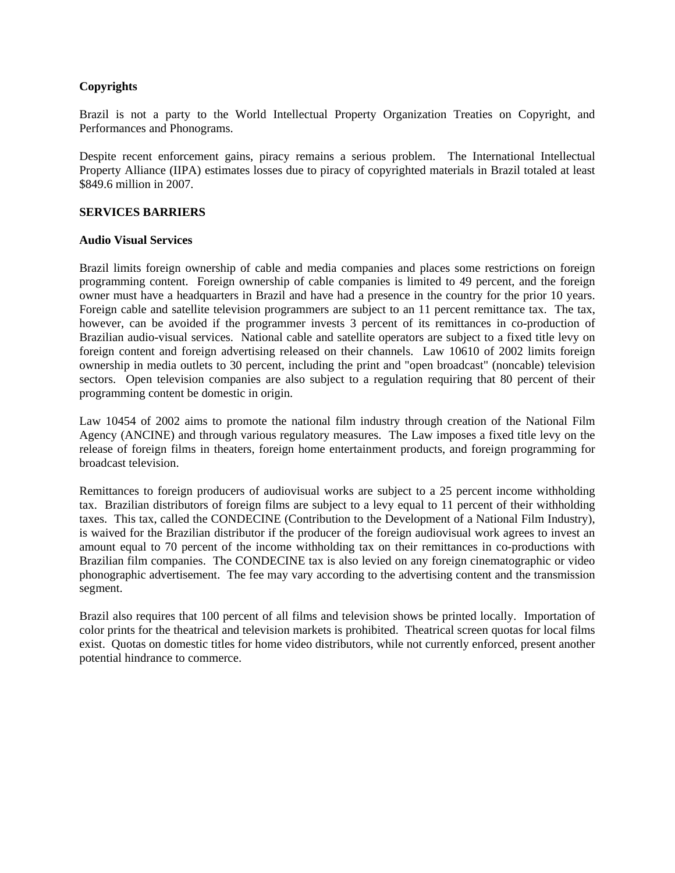# **Copyrights**

Brazil is not a party to the World Intellectual Property Organization Treaties on Copyright, and Performances and Phonograms.

Despite recent enforcement gains, piracy remains a serious problem. The International Intellectual Property Alliance (IIPA) estimates losses due to piracy of copyrighted materials in Brazil totaled at least \$849.6 million in 2007.

## **SERVICES BARRIERS**

#### **Audio Visual Services**

Brazil limits foreign ownership of cable and media companies and places some restrictions on foreign programming content. Foreign ownership of cable companies is limited to 49 percent, and the foreign owner must have a headquarters in Brazil and have had a presence in the country for the prior 10 years. Foreign cable and satellite television programmers are subject to an 11 percent remittance tax. The tax, however, can be avoided if the programmer invests 3 percent of its remittances in co-production of Brazilian audio-visual services. National cable and satellite operators are subject to a fixed title levy on foreign content and foreign advertising released on their channels. Law 10610 of 2002 limits foreign ownership in media outlets to 30 percent, including the print and "open broadcast" (noncable) television sectors. Open television companies are also subject to a regulation requiring that 80 percent of their programming content be domestic in origin.

Law 10454 of 2002 aims to promote the national film industry through creation of the National Film Agency (ANCINE) and through various regulatory measures. The Law imposes a fixed title levy on the release of foreign films in theaters, foreign home entertainment products, and foreign programming for broadcast television.

Remittances to foreign producers of audiovisual works are subject to a 25 percent income withholding tax. Brazilian distributors of foreign films are subject to a levy equal to 11 percent of their withholding taxes. This tax, called the CONDECINE (Contribution to the Development of a National Film Industry), is waived for the Brazilian distributor if the producer of the foreign audiovisual work agrees to invest an amount equal to 70 percent of the income withholding tax on their remittances in co-productions with Brazilian film companies. The CONDECINE tax is also levied on any foreign cinematographic or video phonographic advertisement. The fee may vary according to the advertising content and the transmission segment.

Brazil also requires that 100 percent of all films and television shows be printed locally. Importation of color prints for the theatrical and television markets is prohibited. Theatrical screen quotas for local films exist. Quotas on domestic titles for home video distributors, while not currently enforced, present another potential hindrance to commerce.